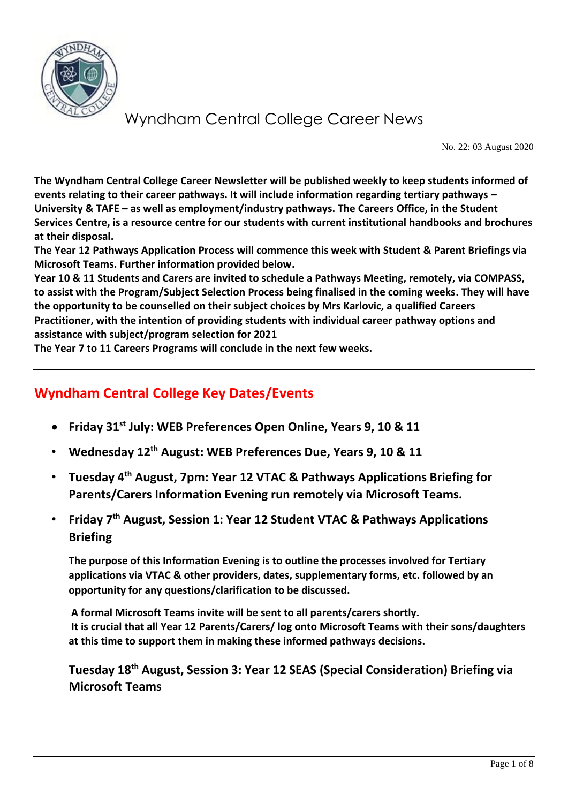

No. 22: 03 August 2020

**The Wyndham Central College Career Newsletter will be published weekly to keep students informed of events relating to their career pathways. It will include information regarding tertiary pathways – University & TAFE – as well as employment/industry pathways. The Careers Office, in the Student Services Centre, is a resource centre for our students with current institutional handbooks and brochures at their disposal.** 

**The Year 12 Pathways Application Process will commence this week with Student & Parent Briefings via Microsoft Teams. Further information provided below.**

**Year 10 & 11 Students and Carers are invited to schedule a Pathways Meeting, remotely, via COMPASS, to assist with the Program/Subject Selection Process being finalised in the coming weeks. They will have the opportunity to be counselled on their subject choices by Mrs Karlovic, a qualified Careers Practitioner, with the intention of providing students with individual career pathway options and assistance with subject/program selection for 2021**

**The Year 7 to 11 Careers Programs will conclude in the next few weeks.**

## **Wyndham Central College Key Dates/Events**

- **Friday 31st July: WEB Preferences Open Online, Years 9, 10 & 11**
- **Wednesday 12th August: WEB Preferences Due, Years 9, 10 & 11**
- **Tuesday 4th August, 7pm: Year 12 VTAC & Pathways Applications Briefing for Parents/Carers Information Evening run remotely via Microsoft Teams.**
- **Friday 7th August, Session 1: Year 12 Student VTAC & Pathways Applications Briefing**

**The purpose of this Information Evening is to outline the processes involved for Tertiary applications via VTAC & other providers, dates, supplementary forms, etc. followed by an opportunity for any questions/clarification to be discussed.**

**A formal Microsoft Teams invite will be sent to all parents/carers shortly. It is crucial that all Year 12 Parents/Carers/ log onto Microsoft Teams with their sons/daughters at this time to support them in making these informed pathways decisions.**

**Tuesday 18th August, Session 3: Year 12 SEAS (Special Consideration) Briefing via Microsoft Teams**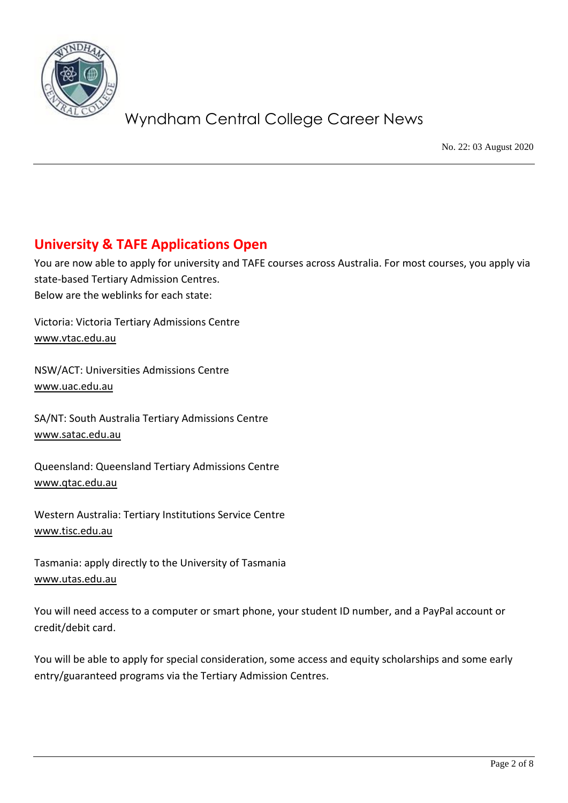

No. 22: 03 August 2020

## **University & TAFE Applications Open**

You are now able to apply for university and TAFE courses across Australia. For most courses, you apply via state-based Tertiary Admission Centres. Below are the weblinks for each state:

Victoria: Victoria Tertiary Admissions Centre [www.vtac.edu.au](http://www.vtac.edu.au/)

NSW/ACT: Universities Admissions Centre [www.uac.edu.au](http://www.uac.edu.au/)

SA/NT: South Australia Tertiary Admissions Centre [www.satac.edu.au](http://www.satac.edu.au/)

Queensland: Queensland Tertiary Admissions Centre [www.qtac.edu.au](http://www.qtac.edu.au/)

Western Australia: Tertiary Institutions Service Centre [www.tisc.edu.au](http://www.tisc.edu.au/)

Tasmania: apply directly to the University of Tasmania [www.utas.edu.au](http://www.utas.edu.au/)

You will need access to a computer or smart phone, your student ID number, and a PayPal account or credit/debit card.

You will be able to apply for special consideration, some access and equity scholarships and some early entry/guaranteed programs via the Tertiary Admission Centres.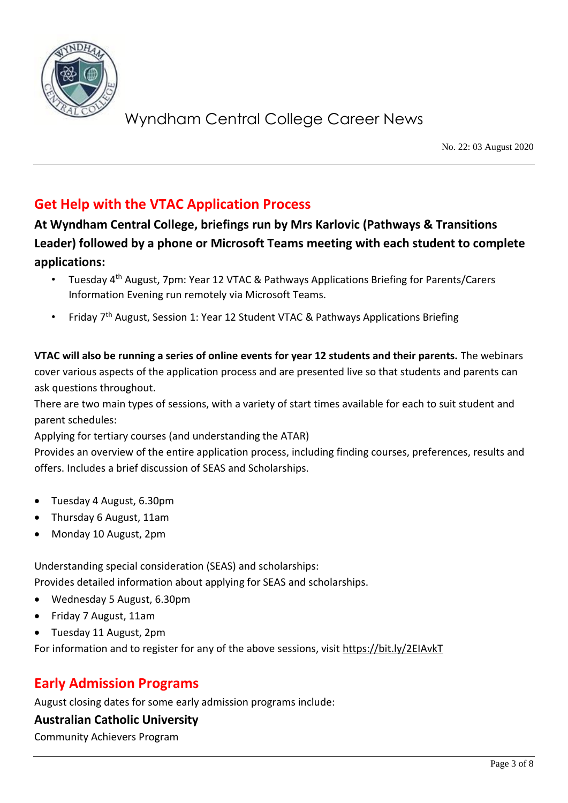

No. 22: 03 August 2020

## **Get Help with the VTAC Application Process**

**At Wyndham Central College, briefings run by Mrs Karlovic (Pathways & Transitions Leader) followed by a phone or Microsoft Teams meeting with each student to complete applications:**

- Tuesday 4th August, 7pm: Year 12 VTAC & Pathways Applications Briefing for Parents/Carers Information Evening run remotely via Microsoft Teams.
- Friday 7<sup>th</sup> August, Session 1: Year 12 Student VTAC & Pathways Applications Briefing

**VTAC will also be running a series of online events for year 12 students and their parents.** The webinars cover various aspects of the application process and are presented live so that students and parents can ask questions throughout.

There are two main types of sessions, with a variety of start times available for each to suit student and parent schedules:

Applying for tertiary courses (and understanding the ATAR)

Provides an overview of the entire application process, including finding courses, preferences, results and offers. Includes a brief discussion of SEAS and Scholarships.

- Tuesday 4 August, 6.30pm
- Thursday 6 August, 11am
- Monday 10 August, 2pm

Understanding special consideration (SEAS) and scholarships:

Provides detailed information about applying for SEAS and scholarships.

- Wednesday 5 August, 6.30pm
- Friday 7 August, 11am
- Tuesday 11 August, 2pm

For information and to register for any of the above sessions, visit<https://bit.ly/2EIAvkT>

## **Early Admission Programs**

August closing dates for some early admission programs include:

#### **Australian Catholic University**

Community Achievers Program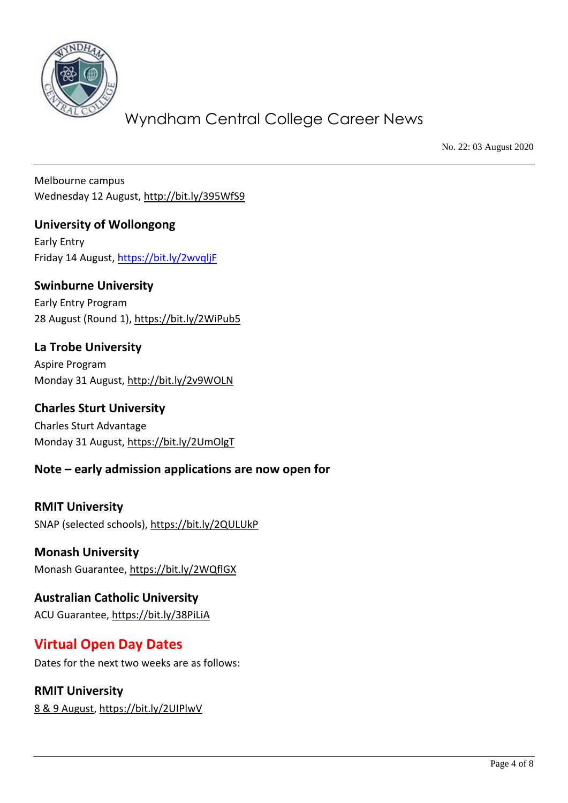

No. 22: 03 August 2020

Melbourne campus Wednesday 12 August,<http://bit.ly/395WfS9>

**University of Wollongong** Early Entry Friday 14 August,<https://bit.ly/2wvqljF>

### **Swinburne University**

Early Entry Program 28 August (Round 1),<https://bit.ly/2WiPub5>

## **La Trobe University**

Aspire Program Monday 31 August,<http://bit.ly/2v9WOLN>

### **Charles Sturt University** Charles Sturt Advantage Monday 31 August,<https://bit.ly/2UmOlgT>

## **Note – early admission applications are now open for**

**RMIT University** SNAP (selected schools),<https://bit.ly/2QULUkP>

### **Monash University** Monash Guarantee,<https://bit.ly/2WQflGX>

**Australian Catholic University** ACU Guarantee,<https://bit.ly/38PiLiA>

## **Virtual Open Day Dates**

Dates for the next two weeks are as follows:

## **RMIT University**

[8 & 9 August,](https://bit.ly/2QcYDgW)<https://bit.ly/2UIPlwV>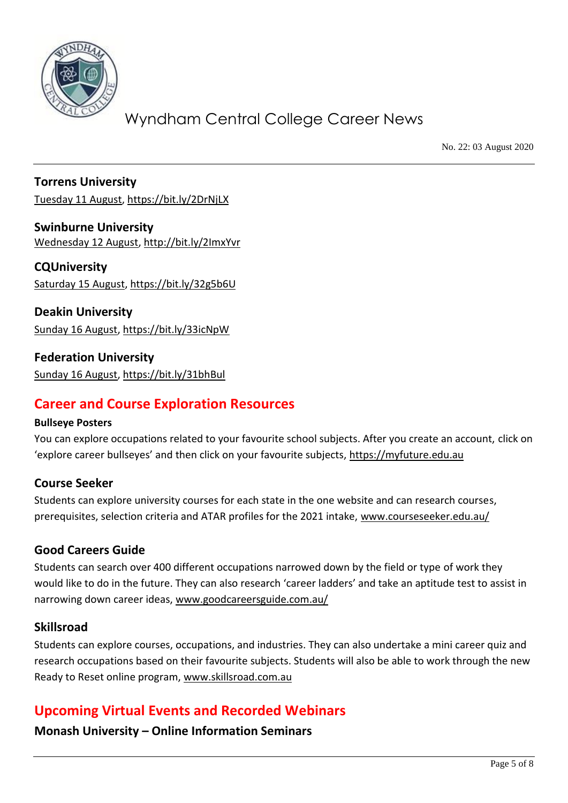

No. 22: 03 August 2020

**Torrens University** [Tuesday 11 August,](https://bit.ly/2I7pY0s)<https://bit.ly/2DrNjLX>

**Swinburne University** [Wednesday 12 August,](https://bit.ly/2KKiQHQ)<http://bit.ly/2ImxYvr>

**CQUniversity** [Saturday 15](https://bit.ly/2WkBy2k) August,<https://bit.ly/32g5b6U>

**Deakin University** [Sunday 16 August,](https://bit.ly/2LEkXR0)<https://bit.ly/33icNpW>

**Federation University** [Sunday 16 August,](https://bit.ly/2bpachS)<https://bit.ly/31bhBul>

## **Career and Course Exploration Resources**

#### **Bullseye Posters**

You can explore occupations related to your favourite school subjects. After you create an account, click on 'explore career bullseyes' and then click on your favourite subjects, [https://myfuture.edu.au](https://myfuture.edu.au/)

#### **Course Seeker**

Students can explore university courses for each state in the one website and can research courses, prerequisites, selection criteria and ATAR profiles for the 2021 intake, [www.courseseeker.edu.au/](http://www.courseseeker.edu.au/)

#### **Good Careers Guide**

Students can search over 400 different occupations narrowed down by the field or type of work they would like to do in the future. They can also research 'career ladders' and take an aptitude test to assist in narrowing down career ideas, [www.goodcareersguide.com.au/](http://www.goodcareersguide.com.au/)

#### **Skillsroad**

Students can explore courses, occupations, and industries. They can also undertake a mini career quiz and research occupations based on their favourite subjects. Students will also be able to work through the new Ready to Reset online program, [www.skillsroad.com.au](http://www.skillsroad.com.au/)

## **Upcoming Virtual Events and Recorded Webinars**

**Monash University – Online Information Seminars**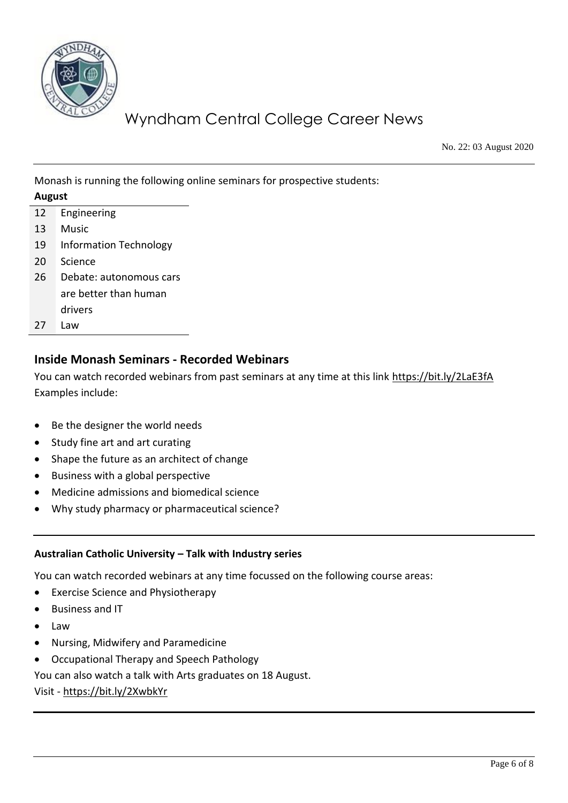

No. 22: 03 August 2020

Monash is running the following online seminars for prospective students:

| August |                               |
|--------|-------------------------------|
| 12     | Engineering                   |
| 13     | Music                         |
| 19     | <b>Information Technology</b> |
| 20     | Science                       |
| 26     | Debate: autonomous cars       |
|        | are better than human         |
|        | drivers                       |
| 27     | Law                           |

### **Inside Monash Seminars - Recorded Webinars**

You can watch recorded webinars from past seminars at any time at this link<https://bit.ly/2LaE3fA> Examples include:

- Be the designer the world needs
- Study fine art and art curating
- Shape the future as an architect of change
- Business with a global perspective
- Medicine admissions and biomedical science
- Why study pharmacy or pharmaceutical science?

#### **Australian Catholic University – Talk with Industry series**

You can watch recorded webinars at any time focussed on the following course areas:

- Exercise Science and Physiotherapy
- Business and IT
- Law
- Nursing, Midwifery and Paramedicine
- Occupational Therapy and Speech Pathology

You can also watch a talk with Arts graduates on 18 August.

Visit - <https://bit.ly/2XwbkYr>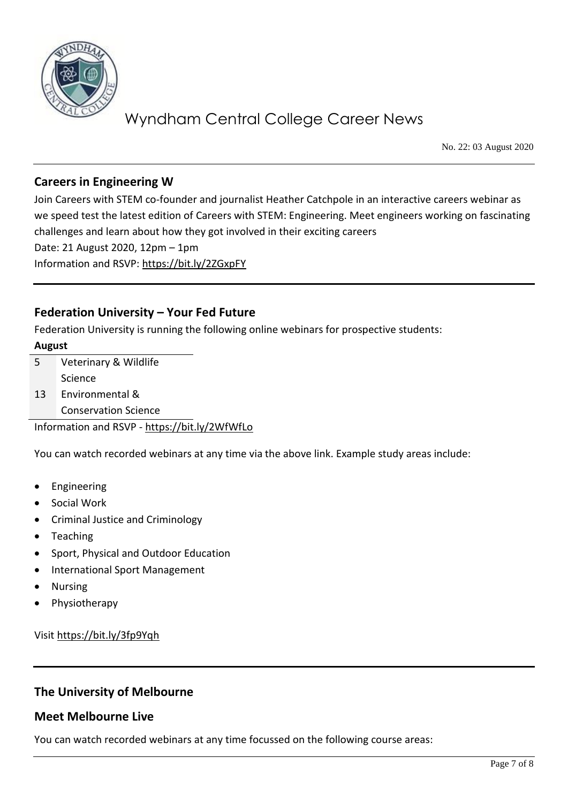

No. 22: 03 August 2020

### **Careers in Engineering W**

Join Careers with STEM co-founder and journalist Heather Catchpole in an interactive careers webinar as we speed test the latest edition of Careers with STEM: Engineering. Meet engineers working on fascinating challenges and learn about how they got involved in their exciting careers Date: 21 August 2020, 12pm – 1pm Information and RSVP:<https://bit.ly/2ZGxpFY>

### **Federation University – Your Fed Future**

Federation University is running the following online webinars for prospective students:

#### **August**

| .5 | Veterinary & Wildlife       |
|----|-----------------------------|
|    | Science                     |
| 13 | Environmental &             |
|    | <b>Conservation Science</b> |

Information and RSVP - <https://bit.ly/2WfWfLo>

You can watch recorded webinars at any time via the above link. Example study areas include:

- Engineering
- Social Work
- Criminal Justice and Criminology
- Teaching
- Sport, Physical and Outdoor Education
- International Sport Management
- Nursing
- Physiotherapy

Visi[t https://bit.ly/3fp9Yqh](https://bit.ly/3fp9Yqh) 

#### **The University of Melbourne**

#### **Meet Melbourne Live**

You can watch recorded webinars at any time focussed on the following course areas: